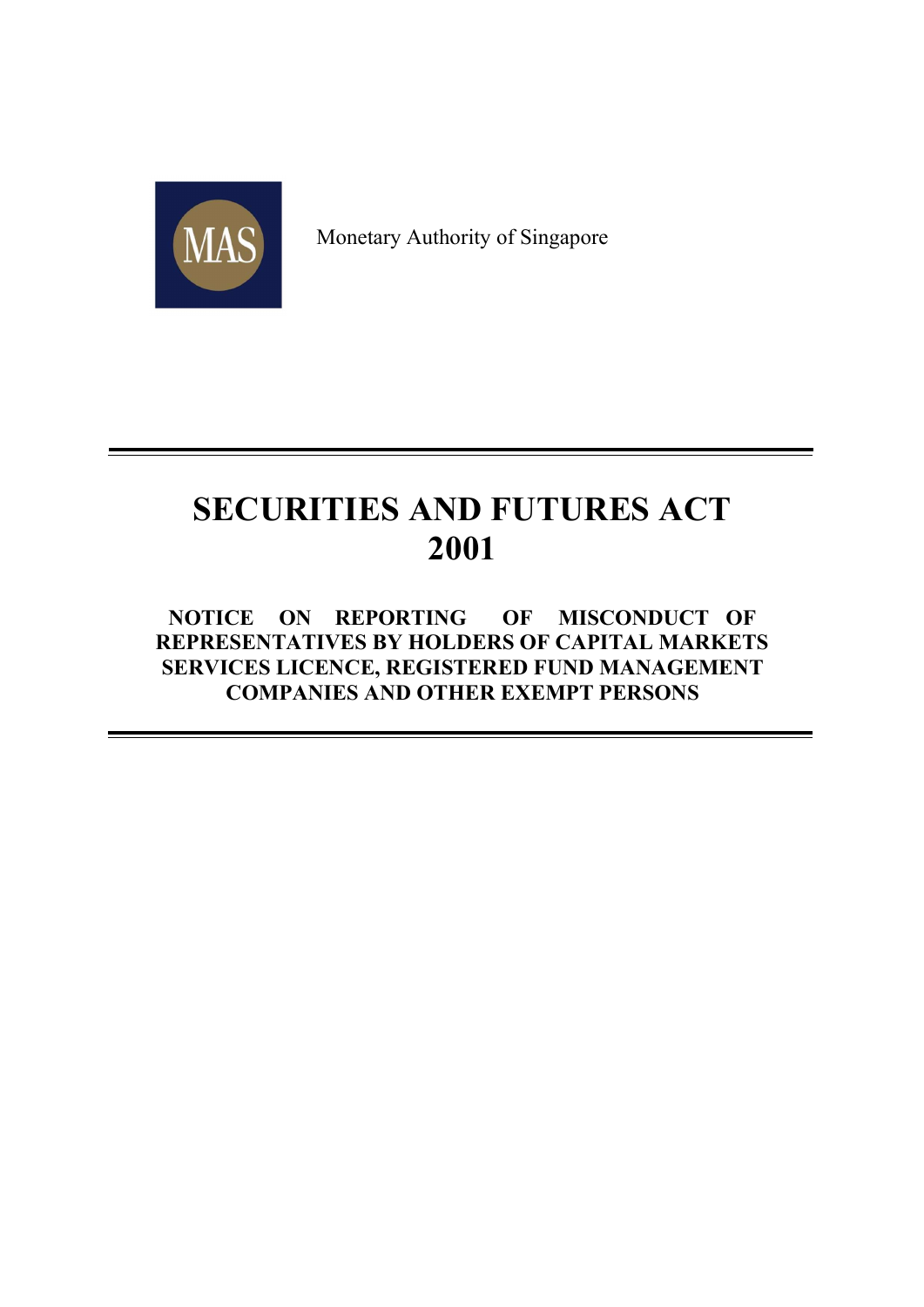

Monetary Authority of Singapore

# SECURITIES AND FUTURES ACT 2001

# NOTICE ON REPORTING OF MISCONDUCT OF REPRESENTATIVES BY HOLDERS OF CAPITAL MARKETS SERVICES LICENCE, REGISTERED FUND MANAGEMENT COMPANIES AND OTHER EXEMPT PERSONS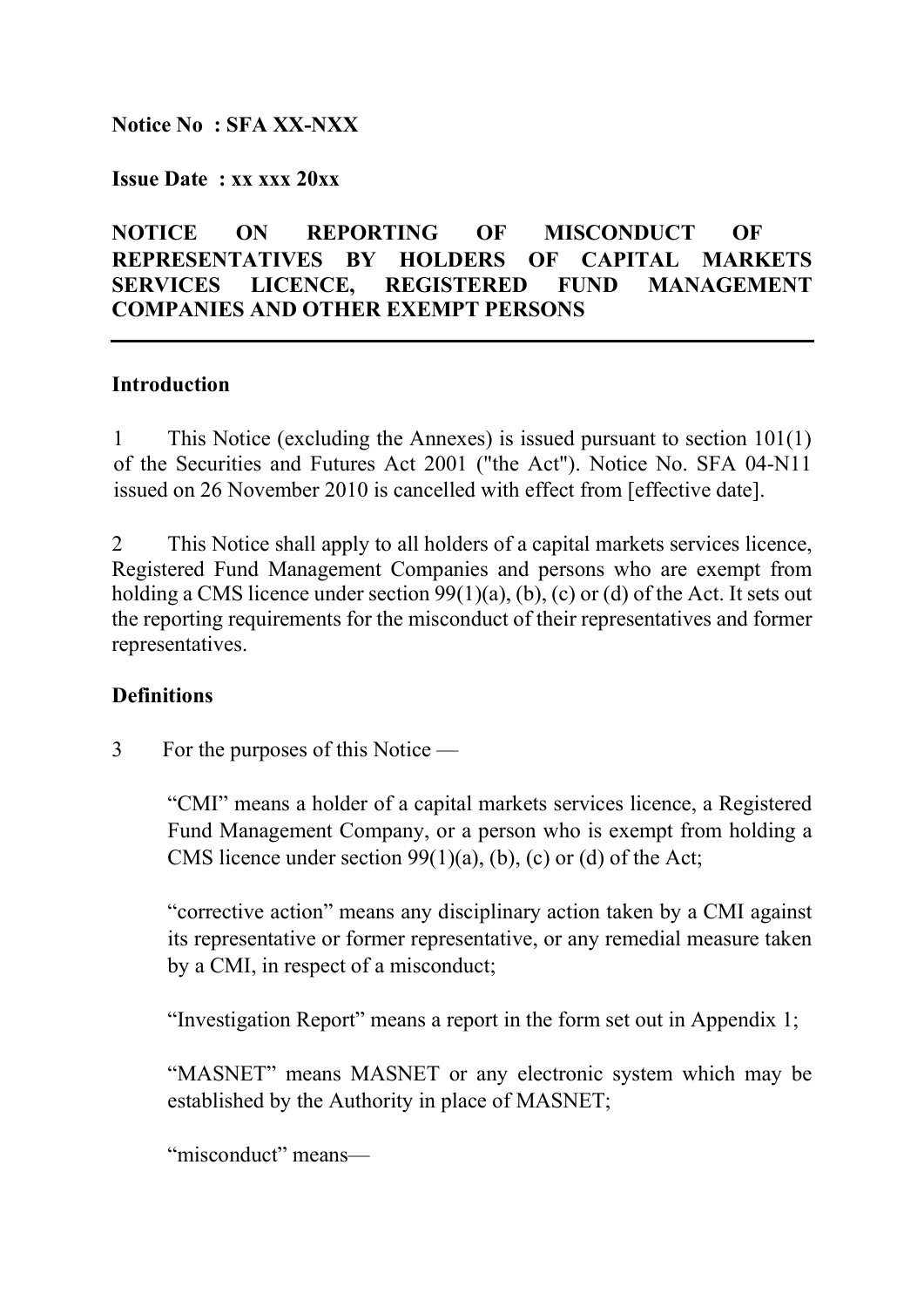## Notice No : SFA XX-NXX

#### Issue Date : xx xxx 20xx

# NOTICE ON REPORTING OF MISCONDUCT OF REPRESENTATIVES BY HOLDERS OF CAPITAL MARKETS SERVICES LICENCE, REGISTERED FUND MANAGEMENT COMPANIES AND OTHER EXEMPT PERSONS

#### **Introduction**

1 This Notice (excluding the Annexes) is issued pursuant to section 101(1) of the Securities and Futures Act 2001 ("the Act"). Notice No. SFA 04-N11 issued on 26 November 2010 is cancelled with effect from [effective date].

2 This Notice shall apply to all holders of a capital markets services licence, Registered Fund Management Companies and persons who are exempt from holding a CMS licence under section 99(1)(a), (b), (c) or (d) of the Act. It sets out the reporting requirements for the misconduct of their representatives and former representatives.

#### **Definitions**

3 For the purposes of this Notice —

"CMI" means a holder of a capital markets services licence, a Registered Fund Management Company, or a person who is exempt from holding a CMS licence under section 99(1)(a), (b), (c) or (d) of the Act;

"corrective action" means any disciplinary action taken by a CMI against its representative or former representative, or any remedial measure taken by a CMI, in respect of a misconduct;

"Investigation Report" means a report in the form set out in Appendix 1;

"MASNET" means MASNET or any electronic system which may be established by the Authority in place of MASNET;

"misconduct" means—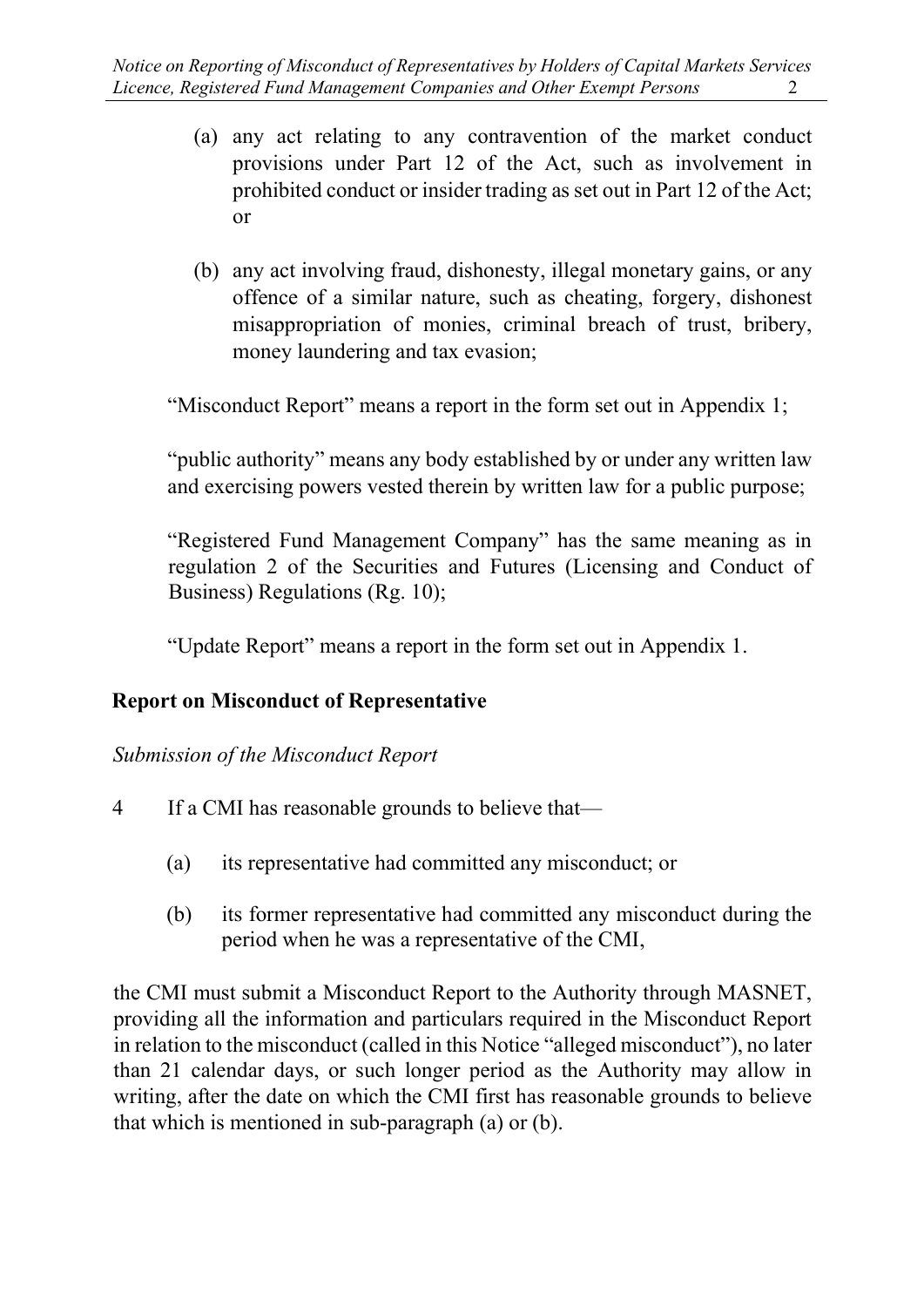- (a) any act relating to any contravention of the market conduct provisions under Part 12 of the Act, such as involvement in prohibited conduct or insider trading as set out in Part 12 of the Act; or
- (b) any act involving fraud, dishonesty, illegal monetary gains, or any offence of a similar nature, such as cheating, forgery, dishonest misappropriation of monies, criminal breach of trust, bribery, money laundering and tax evasion;

"Misconduct Report" means a report in the form set out in Appendix 1;

"public authority" means any body established by or under any written law and exercising powers vested therein by written law for a public purpose;

"Registered Fund Management Company" has the same meaning as in regulation 2 of the Securities and Futures (Licensing and Conduct of Business) Regulations (Rg. 10);

"Update Report" means a report in the form set out in Appendix 1.

# Report on Misconduct of Representative

Submission of the Misconduct Report

- 4 If a CMI has reasonable grounds to believe that—
	- (a) its representative had committed any misconduct; or
	- (b) its former representative had committed any misconduct during the period when he was a representative of the CMI,

the CMI must submit a Misconduct Report to the Authority through MASNET, providing all the information and particulars required in the Misconduct Report in relation to the misconduct (called in this Notice "alleged misconduct"), no later than 21 calendar days, or such longer period as the Authority may allow in writing, after the date on which the CMI first has reasonable grounds to believe that which is mentioned in sub-paragraph (a) or (b).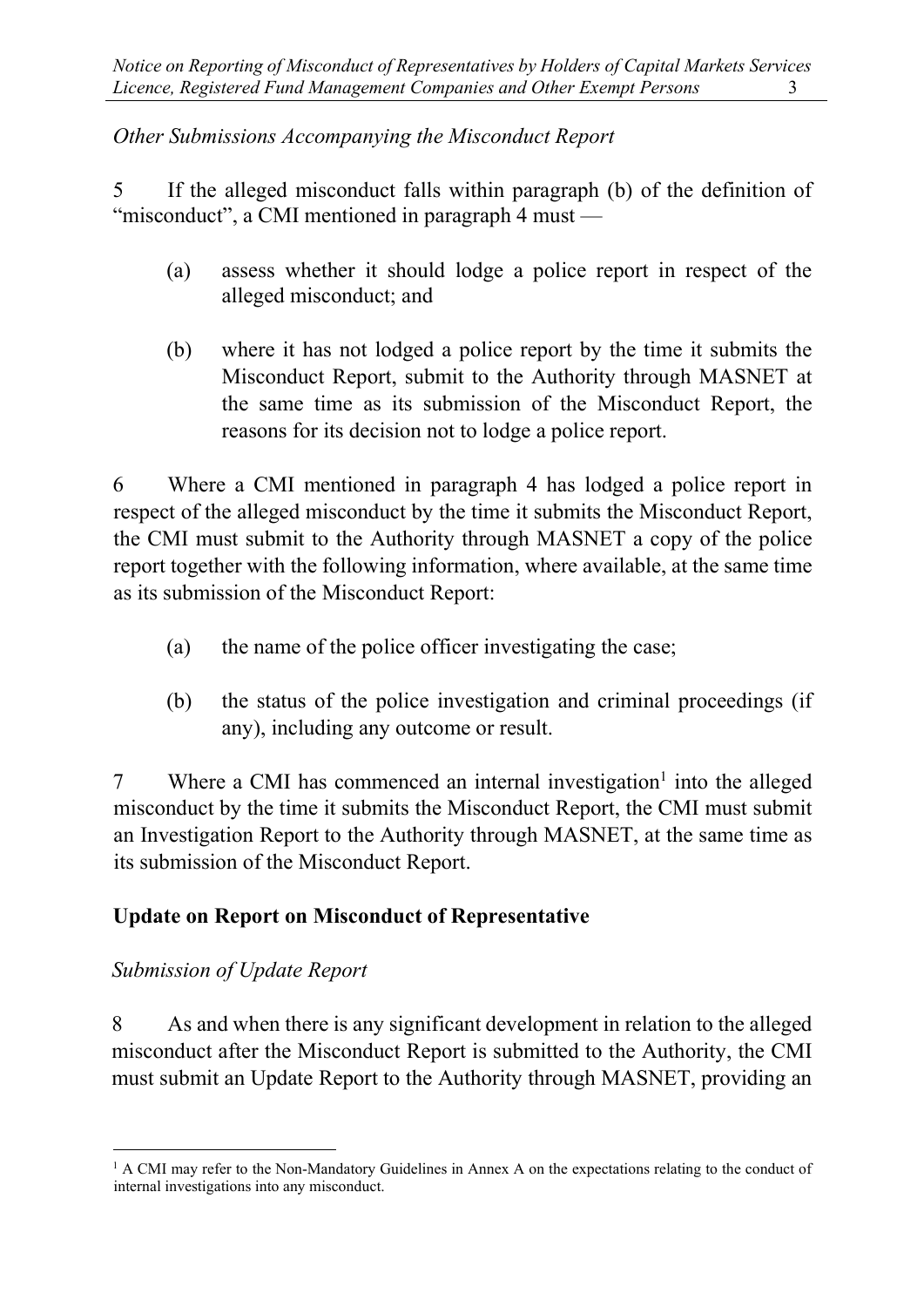# Other Submissions Accompanying the Misconduct Report

5 If the alleged misconduct falls within paragraph (b) of the definition of "misconduct", a CMI mentioned in paragraph 4 must —

- (a) assess whether it should lodge a police report in respect of the alleged misconduct; and
- (b) where it has not lodged a police report by the time it submits the Misconduct Report, submit to the Authority through MASNET at the same time as its submission of the Misconduct Report, the reasons for its decision not to lodge a police report.

6 Where a CMI mentioned in paragraph 4 has lodged a police report in respect of the alleged misconduct by the time it submits the Misconduct Report, the CMI must submit to the Authority through MASNET a copy of the police report together with the following information, where available, at the same time as its submission of the Misconduct Report:

- (a) the name of the police officer investigating the case;
- (b) the status of the police investigation and criminal proceedings (if any), including any outcome or result.

7 Where a CMI has commenced an internal investigation<sup>1</sup> into the alleged misconduct by the time it submits the Misconduct Report, the CMI must submit an Investigation Report to the Authority through MASNET, at the same time as its submission of the Misconduct Report.

# Update on Report on Misconduct of Representative

# Submission of Update Report

8 As and when there is any significant development in relation to the alleged misconduct after the Misconduct Report is submitted to the Authority, the CMI must submit an Update Report to the Authority through MASNET, providing an

<sup>&</sup>lt;sup>1</sup> A CMI may refer to the Non-Mandatory Guidelines in Annex A on the expectations relating to the conduct of internal investigations into any misconduct.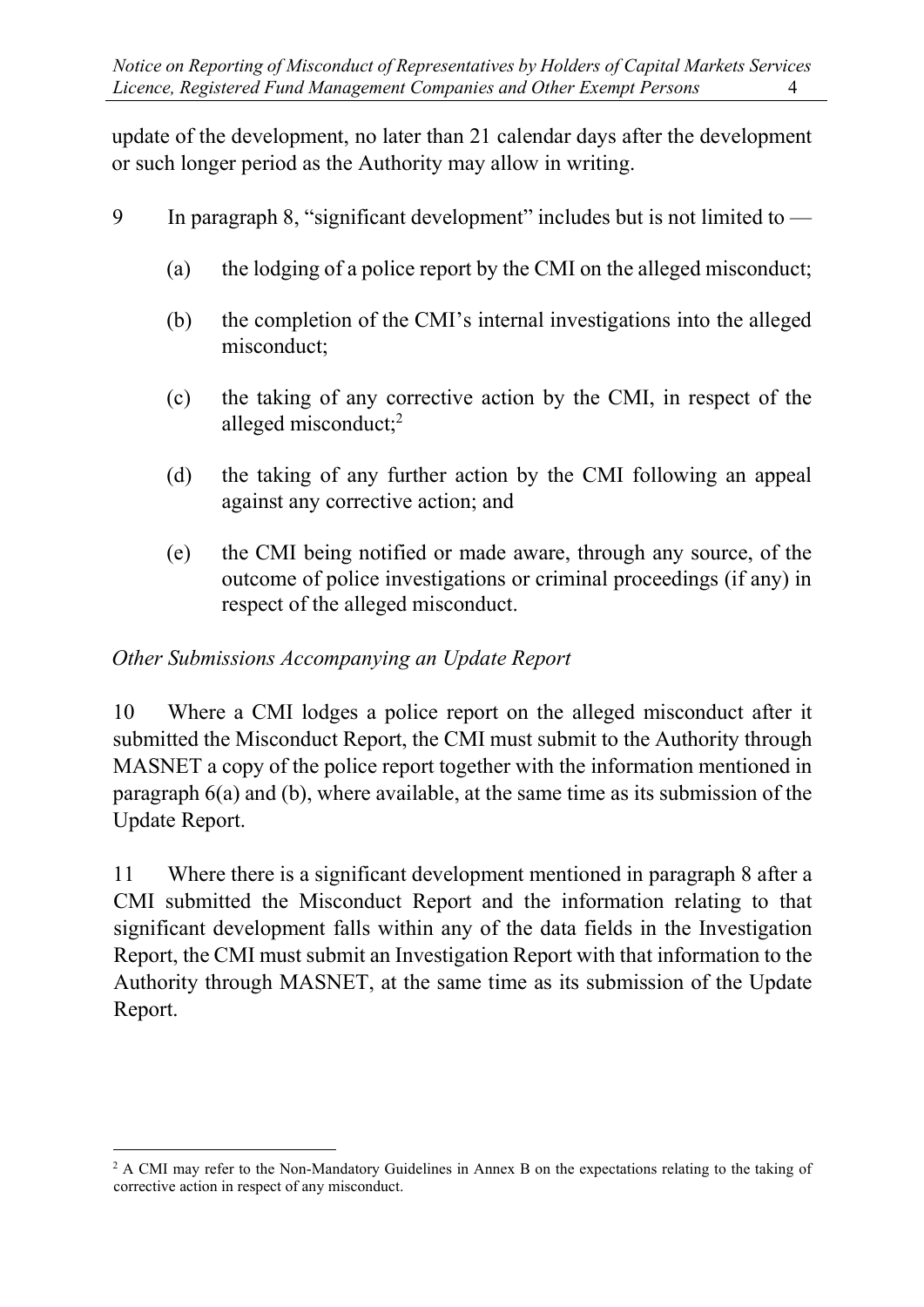update of the development, no later than 21 calendar days after the development or such longer period as the Authority may allow in writing.

- 9 In paragraph 8, "significant development" includes but is not limited to
	- (a) the lodging of a police report by the CMI on the alleged misconduct;
	- (b) the completion of the CMI's internal investigations into the alleged misconduct;
	- (c) the taking of any corrective action by the CMI, in respect of the alleged misconduct;<sup>2</sup>
	- (d) the taking of any further action by the CMI following an appeal against any corrective action; and
	- (e) the CMI being notified or made aware, through any source, of the outcome of police investigations or criminal proceedings (if any) in respect of the alleged misconduct.

# Other Submissions Accompanying an Update Report

10 Where a CMI lodges a police report on the alleged misconduct after it submitted the Misconduct Report, the CMI must submit to the Authority through MASNET a copy of the police report together with the information mentioned in paragraph 6(a) and (b), where available, at the same time as its submission of the Update Report.

11 Where there is a significant development mentioned in paragraph 8 after a CMI submitted the Misconduct Report and the information relating to that significant development falls within any of the data fields in the Investigation Report, the CMI must submit an Investigation Report with that information to the Authority through MASNET, at the same time as its submission of the Update Report.

<sup>&</sup>lt;sup>2</sup> A CMI may refer to the Non-Mandatory Guidelines in Annex B on the expectations relating to the taking of corrective action in respect of any misconduct.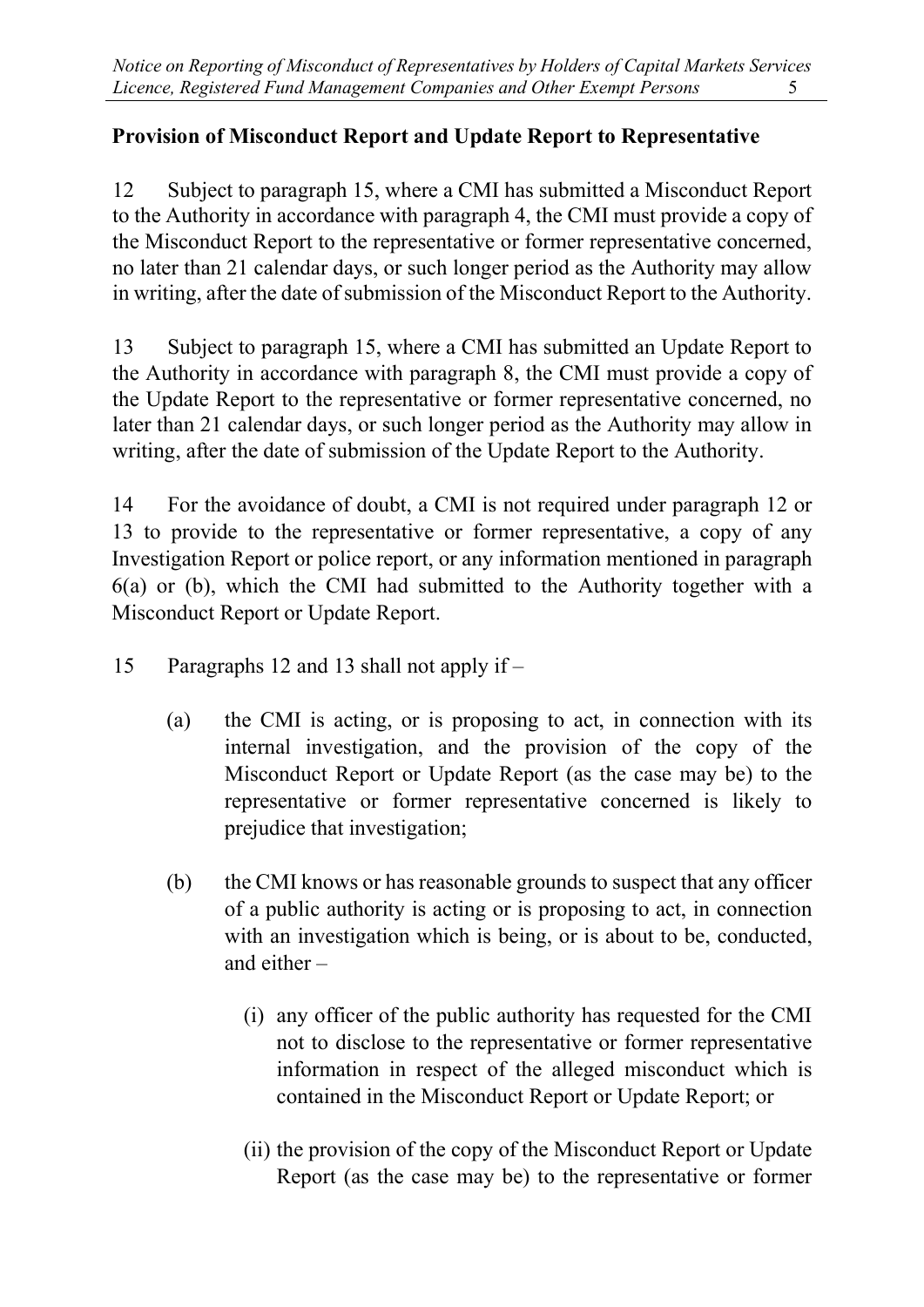# Provision of Misconduct Report and Update Report to Representative

12 Subject to paragraph 15, where a CMI has submitted a Misconduct Report to the Authority in accordance with paragraph 4, the CMI must provide a copy of the Misconduct Report to the representative or former representative concerned, no later than 21 calendar days, or such longer period as the Authority may allow in writing, after the date of submission of the Misconduct Report to the Authority.

13 Subject to paragraph 15, where a CMI has submitted an Update Report to the Authority in accordance with paragraph 8, the CMI must provide a copy of the Update Report to the representative or former representative concerned, no later than 21 calendar days, or such longer period as the Authority may allow in writing, after the date of submission of the Update Report to the Authority.

14 For the avoidance of doubt, a CMI is not required under paragraph 12 or 13 to provide to the representative or former representative, a copy of any Investigation Report or police report, or any information mentioned in paragraph 6(a) or (b), which the CMI had submitted to the Authority together with a Misconduct Report or Update Report.

- 15 Paragraphs 12 and 13 shall not apply if
	- (a) the CMI is acting, or is proposing to act, in connection with its internal investigation, and the provision of the copy of the Misconduct Report or Update Report (as the case may be) to the representative or former representative concerned is likely to prejudice that investigation;
	- (b) the CMI knows or has reasonable grounds to suspect that any officer of a public authority is acting or is proposing to act, in connection with an investigation which is being, or is about to be, conducted, and either –
		- (i) any officer of the public authority has requested for the CMI not to disclose to the representative or former representative information in respect of the alleged misconduct which is contained in the Misconduct Report or Update Report; or
		- (ii) the provision of the copy of the Misconduct Report or Update Report (as the case may be) to the representative or former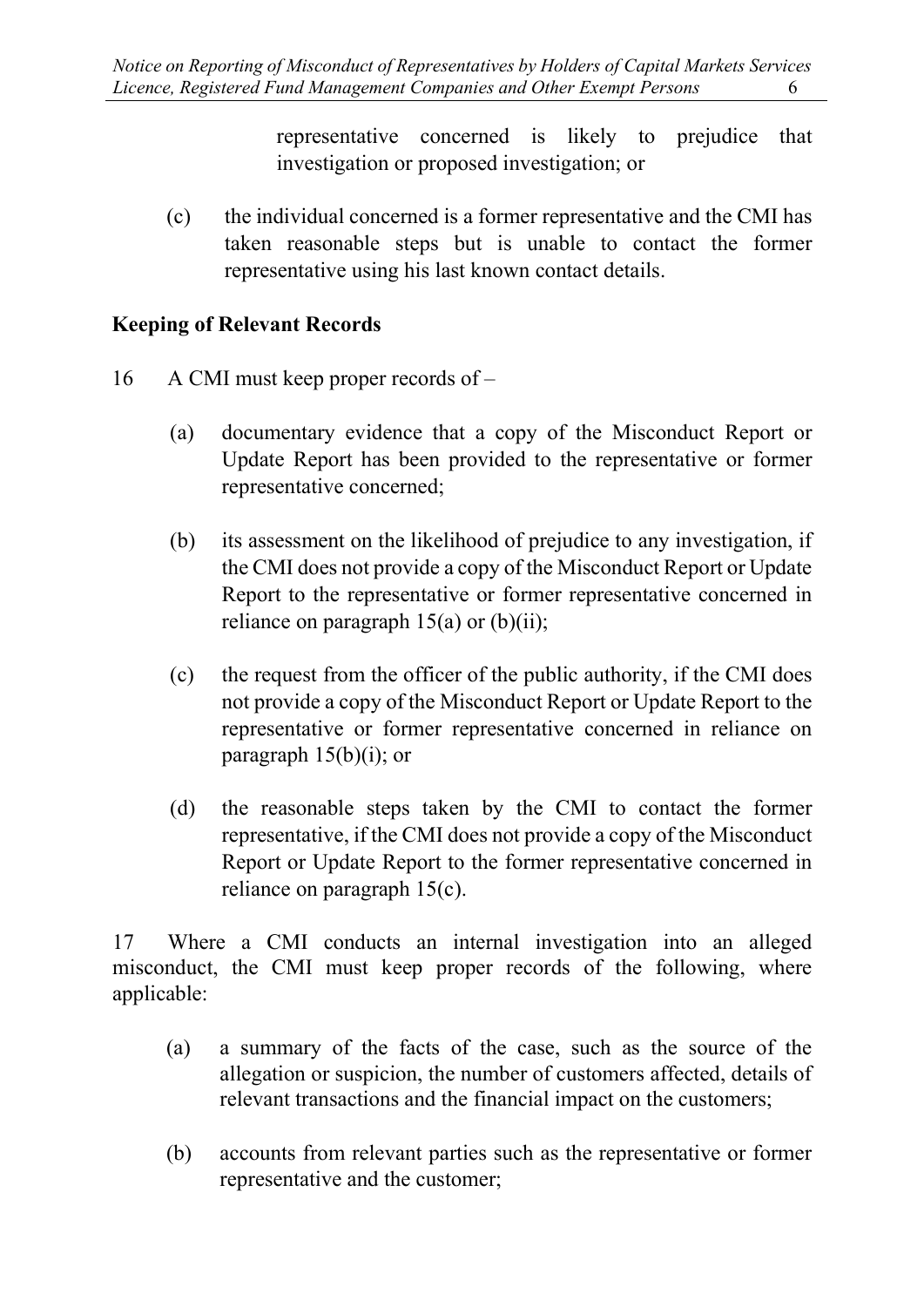representative concerned is likely to prejudice that investigation or proposed investigation; or

(c) the individual concerned is a former representative and the CMI has taken reasonable steps but is unable to contact the former representative using his last known contact details.

### Keeping of Relevant Records

- 16 A CMI must keep proper records of
	- (a) documentary evidence that a copy of the Misconduct Report or Update Report has been provided to the representative or former representative concerned;
	- (b) its assessment on the likelihood of prejudice to any investigation, if the CMI does not provide a copy of the Misconduct Report or Update Report to the representative or former representative concerned in reliance on paragraph  $15(a)$  or  $(b)(ii)$ ;
	- (c) the request from the officer of the public authority, if the CMI does not provide a copy of the Misconduct Report or Update Report to the representative or former representative concerned in reliance on paragraph  $15(b)(i)$ ; or
	- (d) the reasonable steps taken by the CMI to contact the former representative, if the CMI does not provide a copy of the Misconduct Report or Update Report to the former representative concerned in reliance on paragraph 15(c).

17 Where a CMI conducts an internal investigation into an alleged misconduct, the CMI must keep proper records of the following, where applicable:

- (a) a summary of the facts of the case, such as the source of the allegation or suspicion, the number of customers affected, details of relevant transactions and the financial impact on the customers;
- (b) accounts from relevant parties such as the representative or former representative and the customer;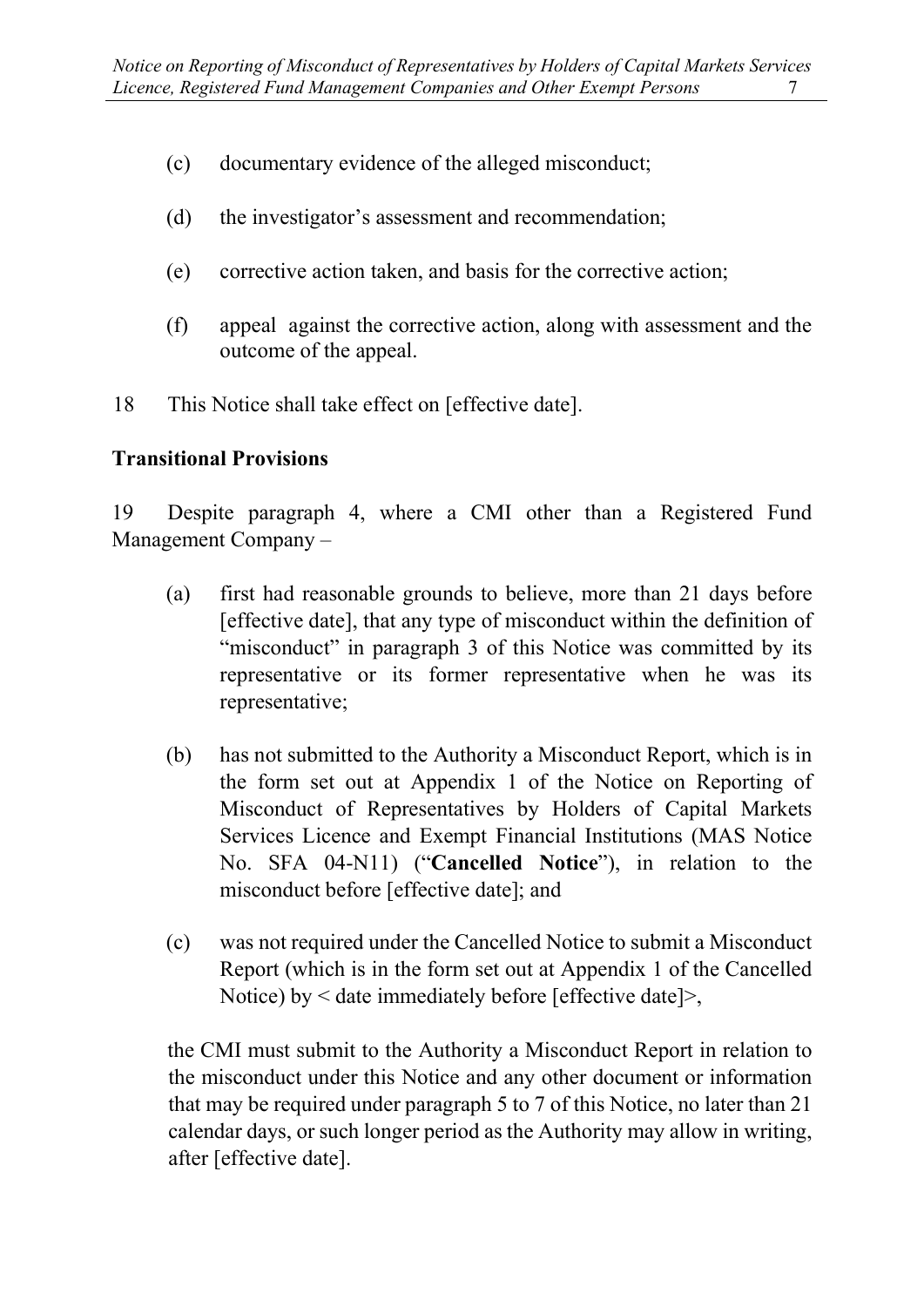- (c) documentary evidence of the alleged misconduct;
- (d) the investigator's assessment and recommendation;
- (e) corrective action taken, and basis for the corrective action;
- (f) appeal against the corrective action, along with assessment and the outcome of the appeal.
- 18 This Notice shall take effect on [effective date].

## Transitional Provisions

19 Despite paragraph 4, where a CMI other than a Registered Fund Management Company –

- (a) first had reasonable grounds to believe, more than 21 days before [effective date], that any type of misconduct within the definition of "misconduct" in paragraph 3 of this Notice was committed by its representative or its former representative when he was its representative;
- (b) has not submitted to the Authority a Misconduct Report, which is in the form set out at Appendix 1 of the Notice on Reporting of Misconduct of Representatives by Holders of Capital Markets Services Licence and Exempt Financial Institutions (MAS Notice No. SFA 04-N11) ("Cancelled Notice"), in relation to the misconduct before [effective date]; and
- (c) was not required under the Cancelled Notice to submit a Misconduct Report (which is in the form set out at Appendix 1 of the Cancelled Notice) by < date immediately before [effective date]>,

the CMI must submit to the Authority a Misconduct Report in relation to the misconduct under this Notice and any other document or information that may be required under paragraph 5 to 7 of this Notice, no later than 21 calendar days, or such longer period as the Authority may allow in writing, after [effective date].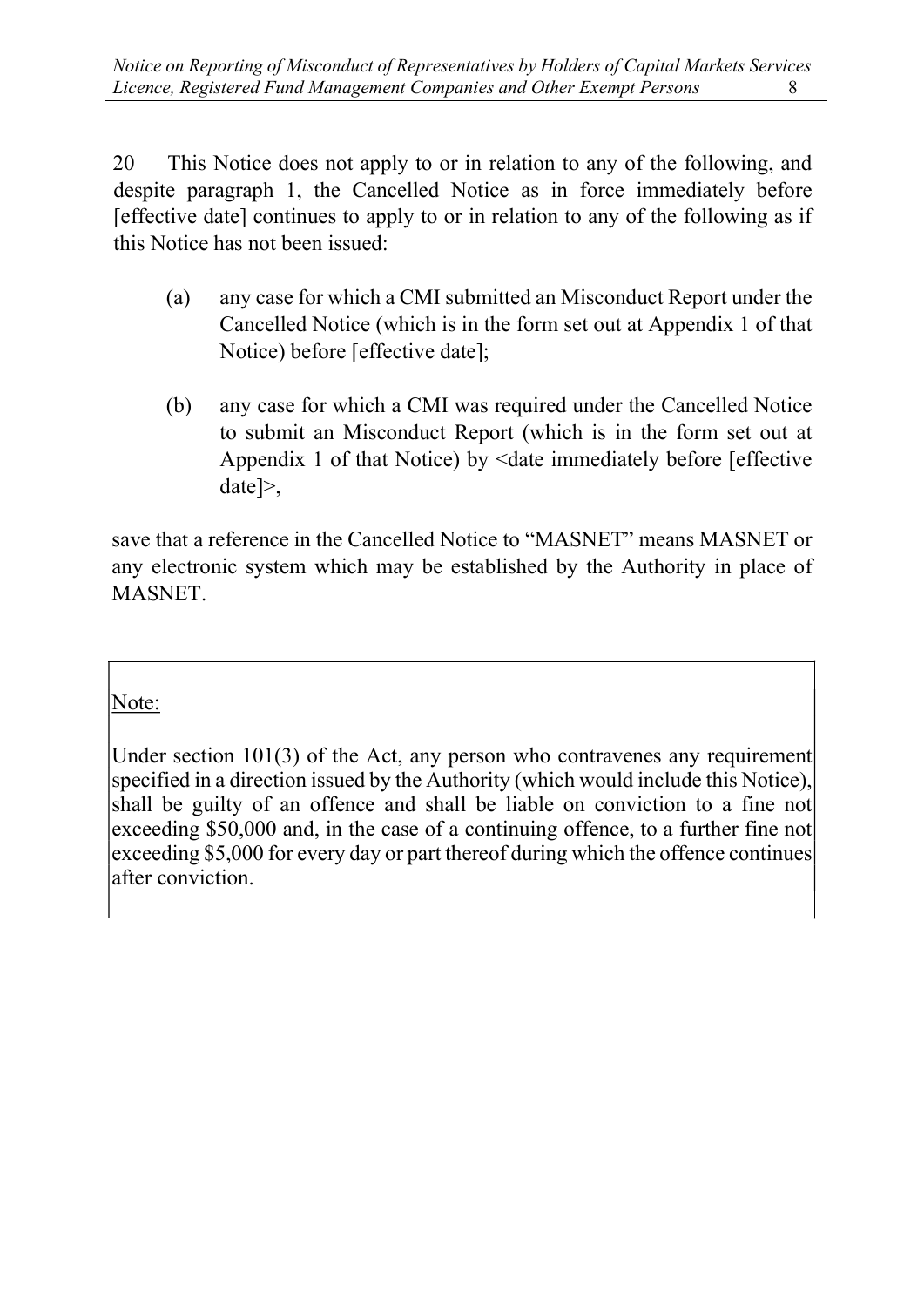20 This Notice does not apply to or in relation to any of the following, and despite paragraph 1, the Cancelled Notice as in force immediately before [effective date] continues to apply to or in relation to any of the following as if this Notice has not been issued:

- (a) any case for which a CMI submitted an Misconduct Report under the Cancelled Notice (which is in the form set out at Appendix 1 of that Notice) before [effective date];
- (b) any case for which a CMI was required under the Cancelled Notice to submit an Misconduct Report (which is in the form set out at Appendix 1 of that Notice) by <date immediately before [effective] date]>,

save that a reference in the Cancelled Notice to "MASNET" means MASNET or any electronic system which may be established by the Authority in place of MASNET.

Note:

Under section 101(3) of the Act, any person who contravenes any requirement specified in a direction issued by the Authority (which would include this Notice), shall be guilty of an offence and shall be liable on conviction to a fine not exceeding \$50,000 and, in the case of a continuing offence, to a further fine not exceeding \$5,000 for every day or part thereof during which the offence continues after conviction.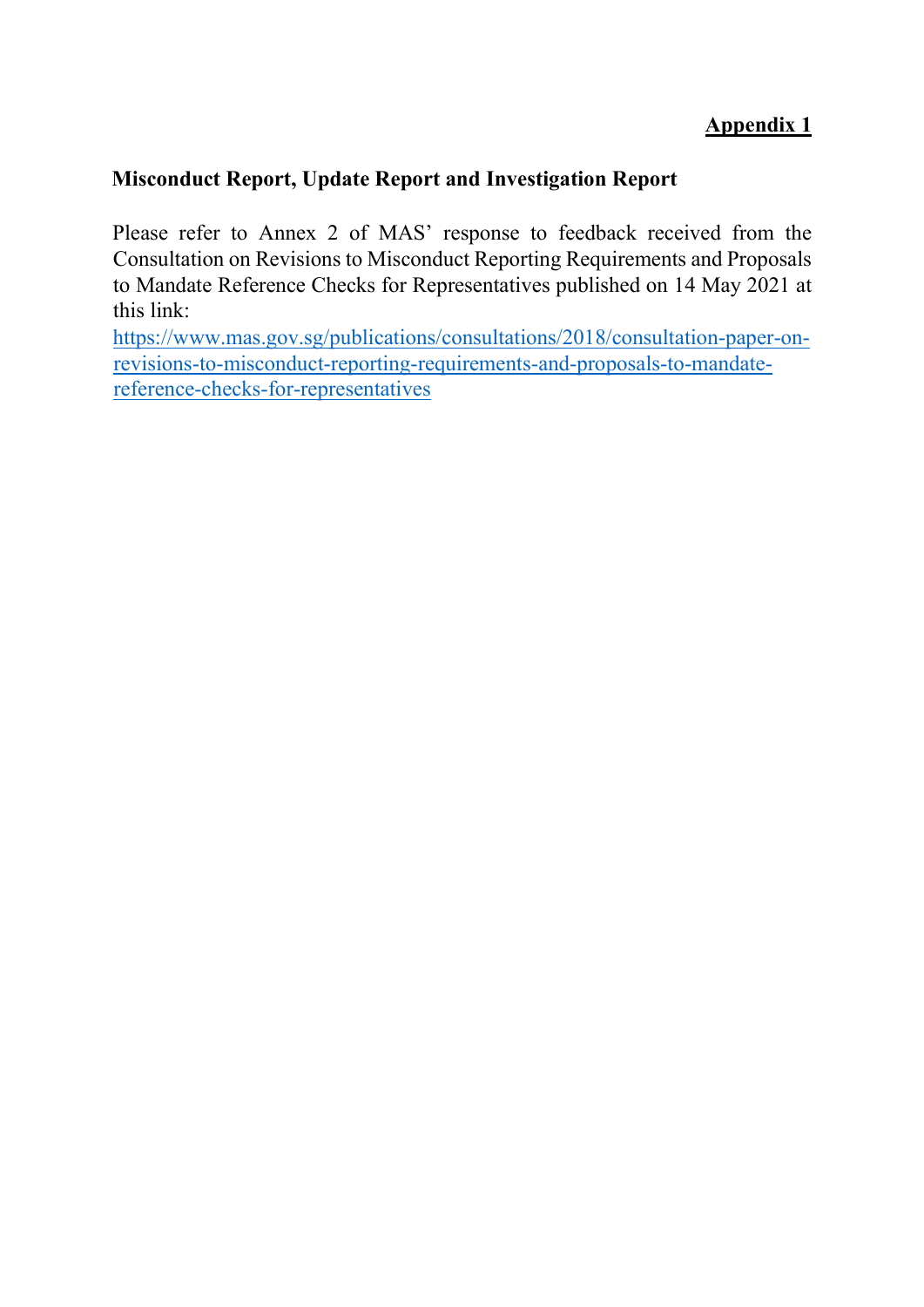# Appendix 1

# Misconduct Report, Update Report and Investigation Report

Please refer to Annex 2 of MAS' response to feedback received from the Consultation on Revisions to Misconduct Reporting Requirements and Proposals to Mandate Reference Checks for Representatives published on 14 May 2021 at this link:

https://www.mas.gov.sg/publications/consultations/2018/consultation-paper-onrevisions-to-misconduct-reporting-requirements-and-proposals-to-mandatereference-checks-for-representatives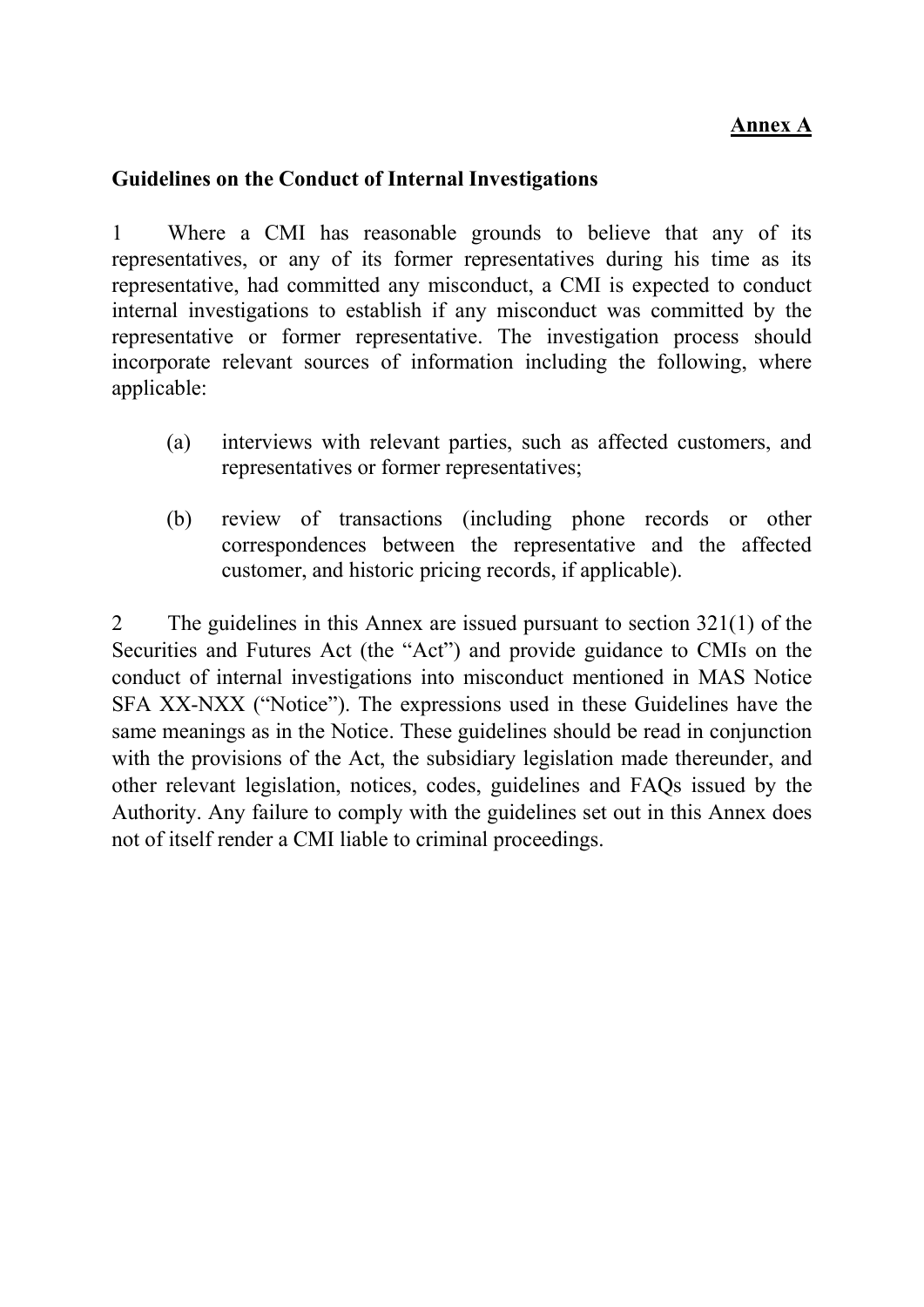## Annex A

#### Guidelines on the Conduct of Internal Investigations

1 Where a CMI has reasonable grounds to believe that any of its representatives, or any of its former representatives during his time as its representative, had committed any misconduct, a CMI is expected to conduct internal investigations to establish if any misconduct was committed by the representative or former representative. The investigation process should incorporate relevant sources of information including the following, where applicable:

- (a) interviews with relevant parties, such as affected customers, and representatives or former representatives;
- (b) review of transactions (including phone records or other correspondences between the representative and the affected customer, and historic pricing records, if applicable).

2 The guidelines in this Annex are issued pursuant to section 321(1) of the Securities and Futures Act (the "Act") and provide guidance to CMIs on the conduct of internal investigations into misconduct mentioned in MAS Notice SFA XX-NXX ("Notice"). The expressions used in these Guidelines have the same meanings as in the Notice. These guidelines should be read in conjunction with the provisions of the Act, the subsidiary legislation made thereunder, and other relevant legislation, notices, codes, guidelines and FAQs issued by the Authority. Any failure to comply with the guidelines set out in this Annex does not of itself render a CMI liable to criminal proceedings.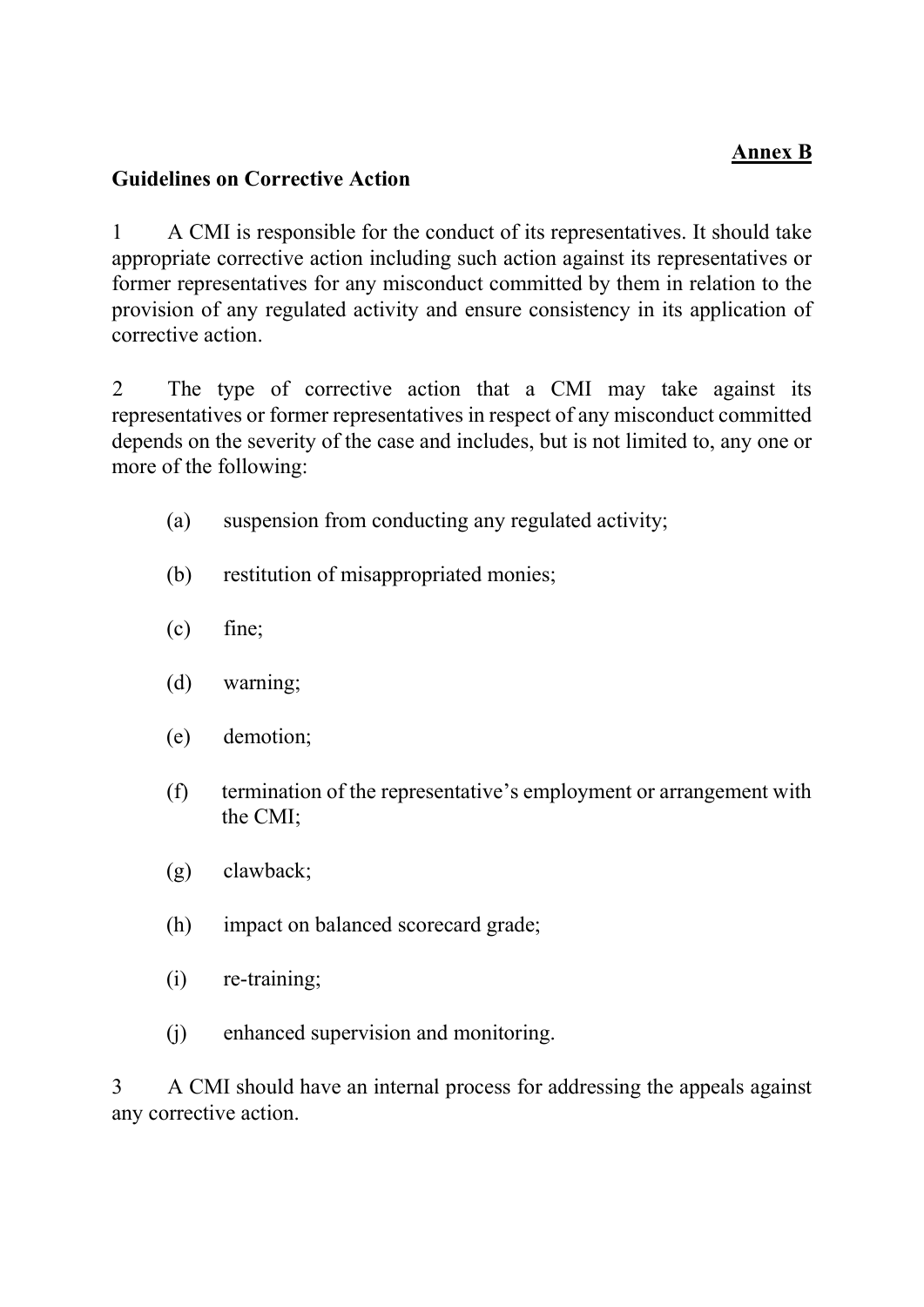# Annex B

## Guidelines on Corrective Action

1 A CMI is responsible for the conduct of its representatives. It should take appropriate corrective action including such action against its representatives or former representatives for any misconduct committed by them in relation to the provision of any regulated activity and ensure consistency in its application of corrective action.

2 The type of corrective action that a CMI may take against its representatives or former representatives in respect of any misconduct committed depends on the severity of the case and includes, but is not limited to, any one or more of the following:

- (a) suspension from conducting any regulated activity;
- (b) restitution of misappropriated monies;
- (c) fine;
- (d) warning;
- (e) demotion;
- (f) termination of the representative's employment or arrangement with the CMI;
- (g) clawback;
- (h) impact on balanced scorecard grade;
- (i) re-training;
- (j) enhanced supervision and monitoring.

3 A CMI should have an internal process for addressing the appeals against any corrective action.